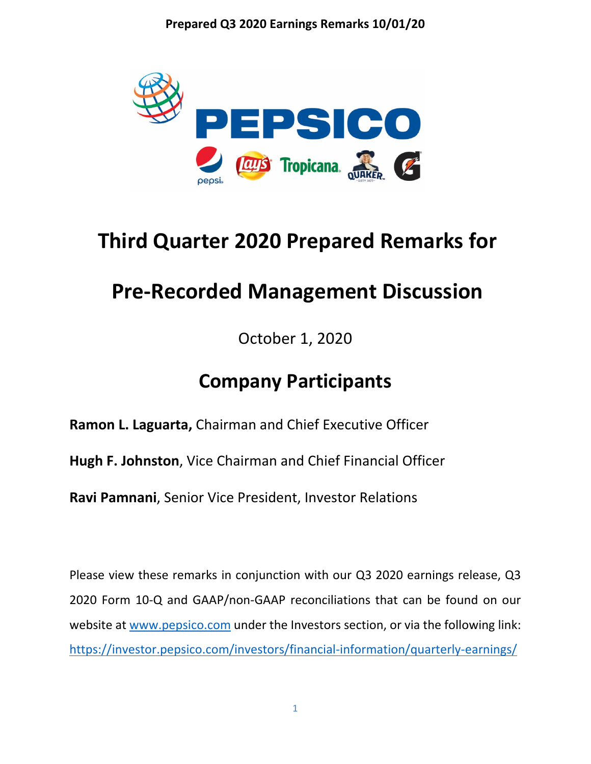

# **Third Quarter 2020 Prepared Remarks for**

## **Pre-Recorded Management Discussion**

October 1, 2020

### **Company Participants**

**[Ramon L. Laguarta,](https://blinks.bloomberg.com/screens/BIO%2018967774)** Chairman and Chief Executive Officer

**[Hugh F. Johnston](https://blinks.bloomberg.com/screens/BIO%2015089105)**, Vice Chairman and Chief Financial Officer

**[Ravi Pamnani](https://blinks.bloomberg.com/screens/BIO%206230658)**, Senior Vice President, Investor Relations

Please view these remarks in conjunction with our Q3 2020 earnings release, Q3 2020 Form 10-Q and GAAP/non-GAAP reconciliations that can be found on our website at [www.pepsico.com](http://www.pepsico.com/) under the Investors section, or via the following link: <https://investor.pepsico.com/investors/financial-information/quarterly-earnings/>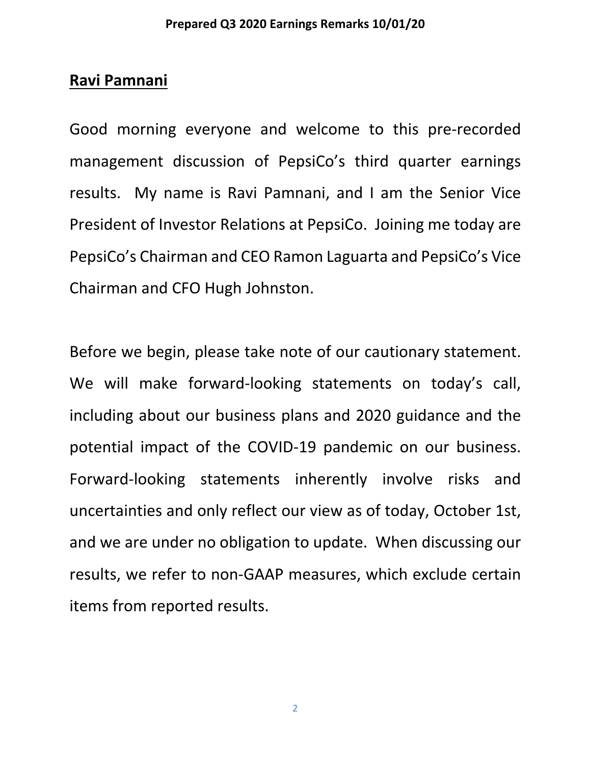### **Ravi Pamnani**

Good morning everyone and welcome to this pre-recorded management discussion of PepsiCo's third quarter earnings results. My name is Ravi Pamnani, and I am the Senior Vice President of Investor Relations at PepsiCo. Joining me today are PepsiCo's Chairman and CEO Ramon Laguarta and PepsiCo's Vice Chairman and CFO Hugh Johnston.

Before we begin, please take note of our cautionary statement. We will make forward-looking statements on today's call, including about our business plans and 2020 guidance and the potential impact of the COVID-19 pandemic on our business. Forward-looking statements inherently involve risks and uncertainties and only reflect our view as of today, October 1st, and we are under no obligation to update. When discussing our results, we refer to non-GAAP measures, which exclude certain items from reported results.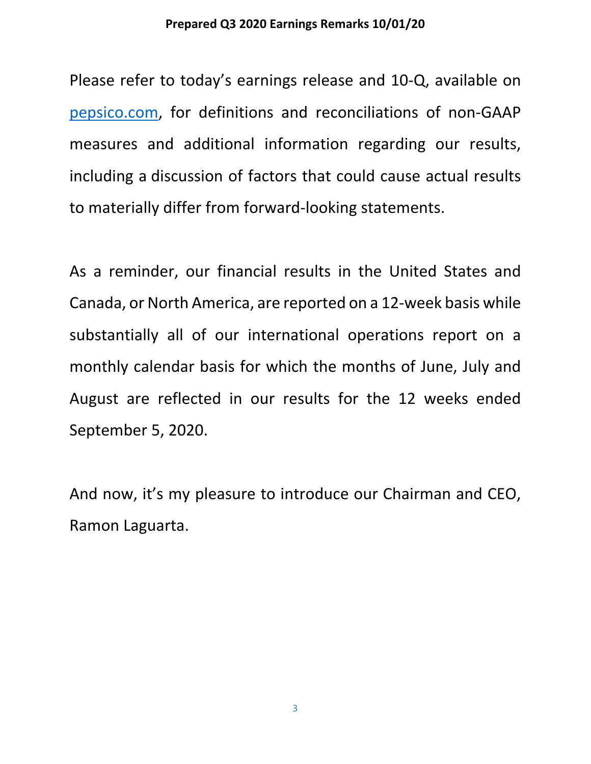Please refer to today's earnings release and 10-Q, available on [pepsico.com,](http://pepsico.com/) for definitions and reconciliations of non-GAAP measures and additional information regarding our results, including a discussion of factors that could cause actual results to materially differ from forward-looking statements.

As a reminder, our financial results in the United States and Canada, or North America, are reported on a 12-week basis while substantially all of our international operations report on a monthly calendar basis for which the months of June, July and August are reflected in our results for the 12 weeks ended September 5, 2020.

And now, it's my pleasure to introduce our Chairman and CEO, Ramon Laguarta.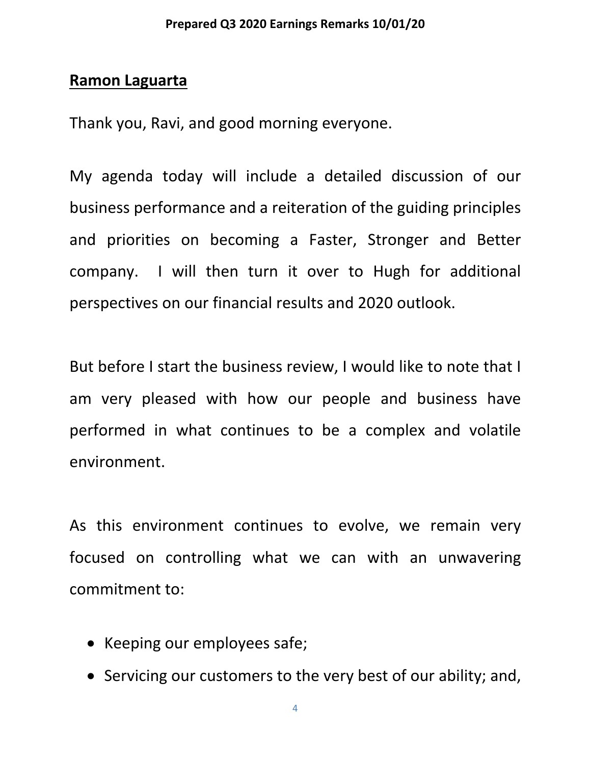#### **Ramon Laguarta**

Thank you, Ravi, and good morning everyone.

My agenda today will include a detailed discussion of our business performance and a reiteration of the guiding principles and priorities on becoming a Faster, Stronger and Better company. I will then turn it over to Hugh for additional perspectives on our financial results and 2020 outlook.

But before I start the business review, I would like to note that I am very pleased with how our people and business have performed in what continues to be a complex and volatile environment.

As this environment continues to evolve, we remain very focused on controlling what we can with an unwavering commitment to:

- Keeping our employees safe;
- Servicing our customers to the very best of our ability; and,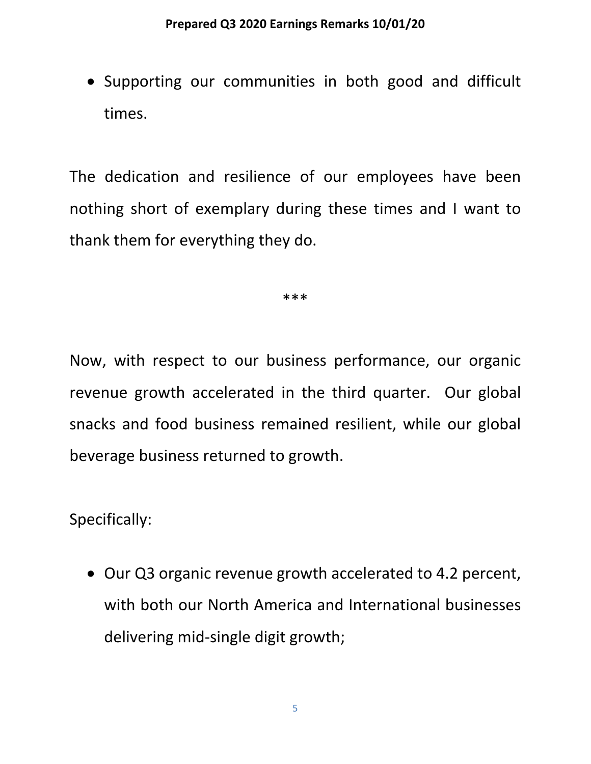• Supporting our communities in both good and difficult times.

The dedication and resilience of our employees have been nothing short of exemplary during these times and I want to thank them for everything they do.

\*\*\*

Now, with respect to our business performance, our organic revenue growth accelerated in the third quarter. Our global snacks and food business remained resilient, while our global beverage business returned to growth.

Specifically:

• Our Q3 organic revenue growth accelerated to 4.2 percent, with both our North America and International businesses delivering mid-single digit growth;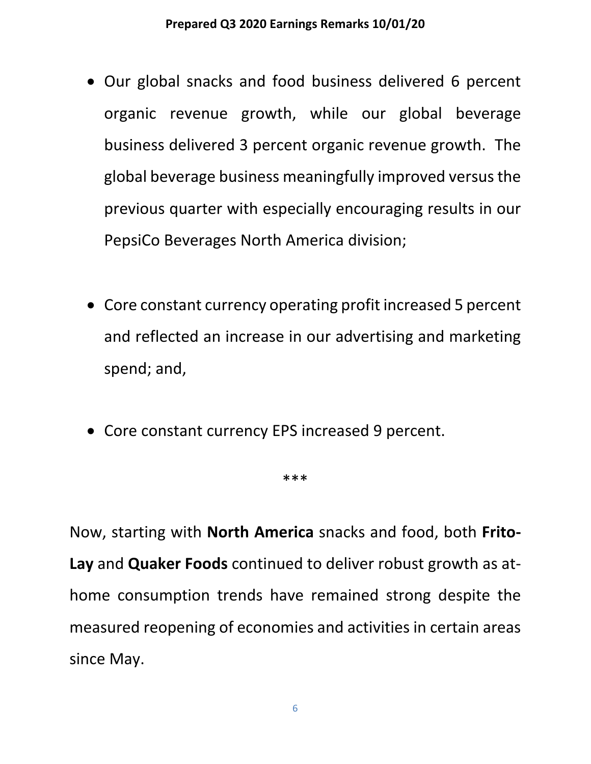- Our global snacks and food business delivered 6 percent organic revenue growth, while our global beverage business delivered 3 percent organic revenue growth. The global beverage business meaningfully improved versus the previous quarter with especially encouraging results in our PepsiCo Beverages North America division;
- Core constant currency operating profit increased 5 percent and reflected an increase in our advertising and marketing spend; and,
- Core constant currency EPS increased 9 percent.

#### \*\*\*

Now, starting with **North America** snacks and food, both **Frito-Lay** and **Quaker Foods** continued to deliver robust growth as athome consumption trends have remained strong despite the measured reopening of economies and activities in certain areas since May.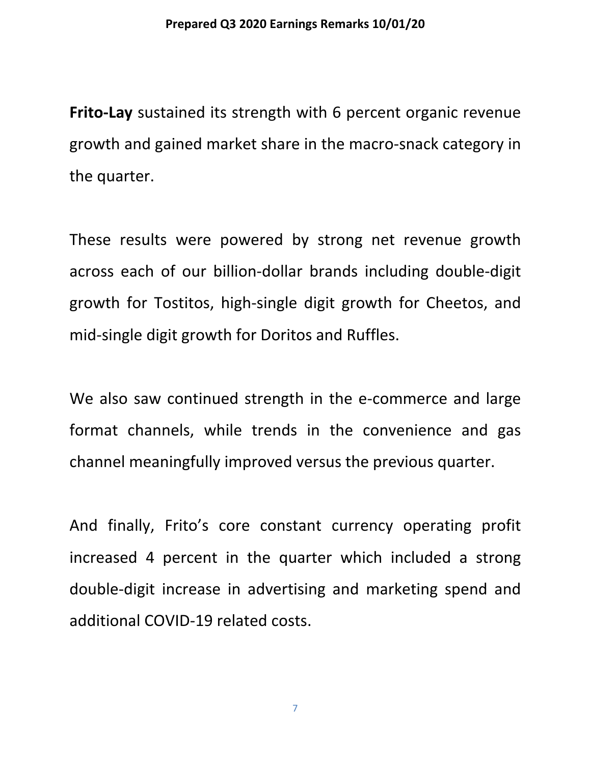**Frito-Lay** sustained its strength with 6 percent organic revenue growth and gained market share in the macro-snack category in the quarter.

These results were powered by strong net revenue growth across each of our billion-dollar brands including double-digit growth for Tostitos, high-single digit growth for Cheetos, and mid-single digit growth for Doritos and Ruffles.

We also saw continued strength in the e-commerce and large format channels, while trends in the convenience and gas channel meaningfully improved versus the previous quarter.

And finally, Frito's core constant currency operating profit increased 4 percent in the quarter which included a strong double-digit increase in advertising and marketing spend and additional COVID-19 related costs.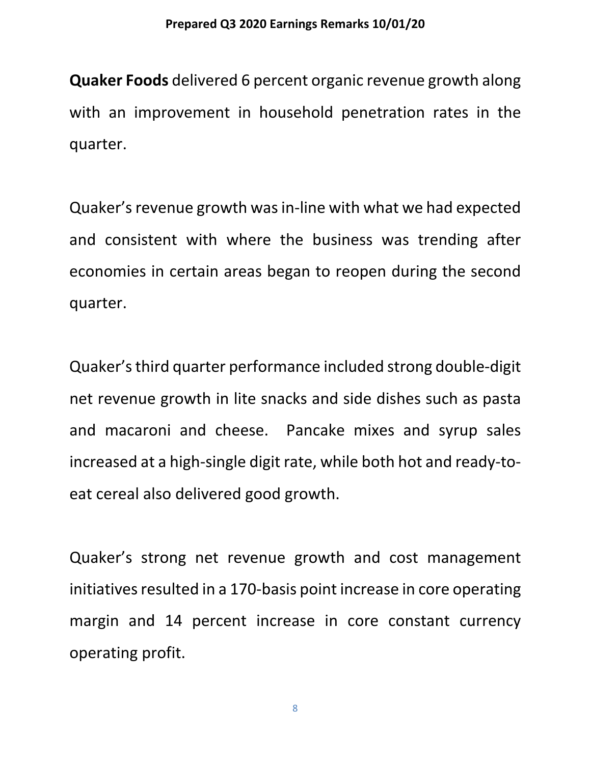**Quaker Foods** delivered 6 percent organic revenue growth along with an improvement in household penetration rates in the quarter.

Quaker's revenue growth was in-line with what we had expected and consistent with where the business was trending after economies in certain areas began to reopen during the second quarter.

Quaker's third quarter performance included strong double-digit net revenue growth in lite snacks and side dishes such as pasta and macaroni and cheese. Pancake mixes and syrup sales increased at a high-single digit rate, while both hot and ready-toeat cereal also delivered good growth.

Quaker's strong net revenue growth and cost management initiatives resulted in a 170-basis point increase in core operating margin and 14 percent increase in core constant currency operating profit.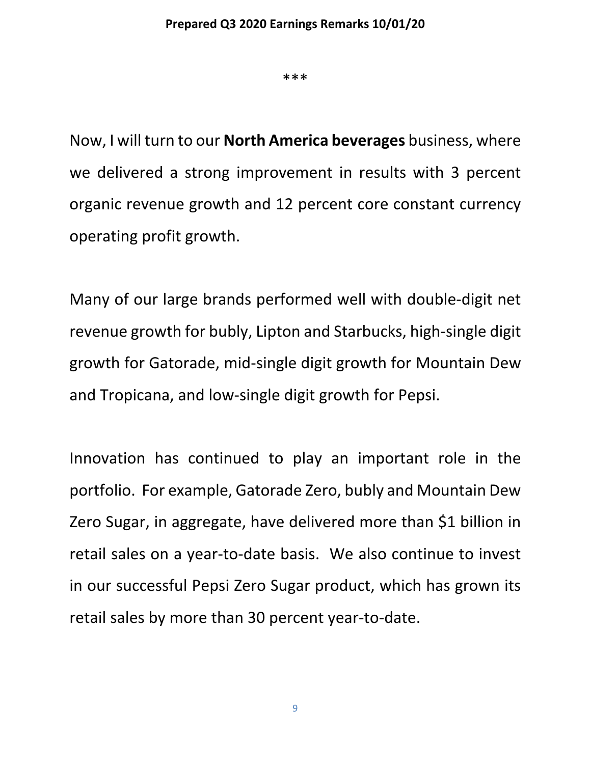\*\*\*

Now, I will turn to our **North America beverages** business, where we delivered a strong improvement in results with 3 percent organic revenue growth and 12 percent core constant currency operating profit growth.

Many of our large brands performed well with double-digit net revenue growth for bubly, Lipton and Starbucks, high-single digit growth for Gatorade, mid-single digit growth for Mountain Dew and Tropicana, and low-single digit growth for Pepsi.

Innovation has continued to play an important role in the portfolio. For example, Gatorade Zero, bubly and Mountain Dew Zero Sugar, in aggregate, have delivered more than \$1 billion in retail sales on a year-to-date basis. We also continue to invest in our successful Pepsi Zero Sugar product, which has grown its retail sales by more than 30 percent year-to-date.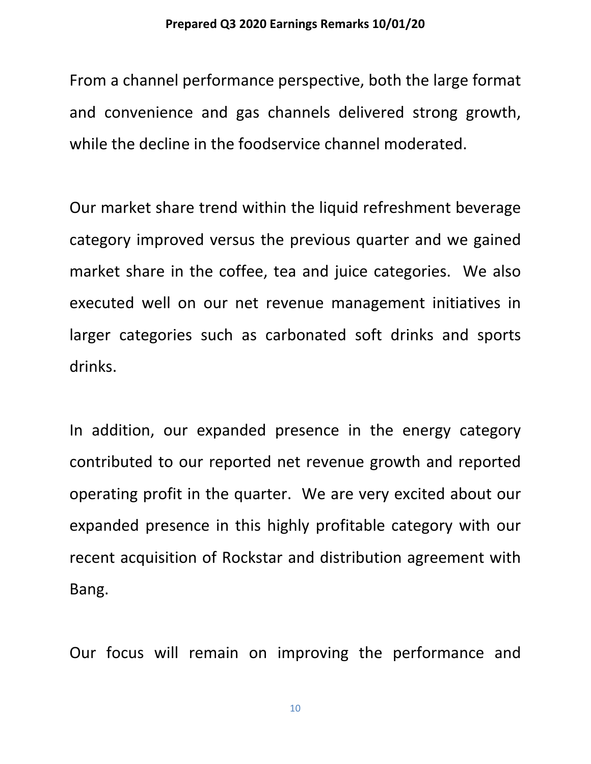From a channel performance perspective, both the large format and convenience and gas channels delivered strong growth, while the decline in the foodservice channel moderated.

Our market share trend within the liquid refreshment beverage category improved versus the previous quarter and we gained market share in the coffee, tea and juice categories. We also executed well on our net revenue management initiatives in larger categories such as carbonated soft drinks and sports drinks.

In addition, our expanded presence in the energy category contributed to our reported net revenue growth and reported operating profit in the quarter. We are very excited about our expanded presence in this highly profitable category with our recent acquisition of Rockstar and distribution agreement with Bang.

Our focus will remain on improving the performance and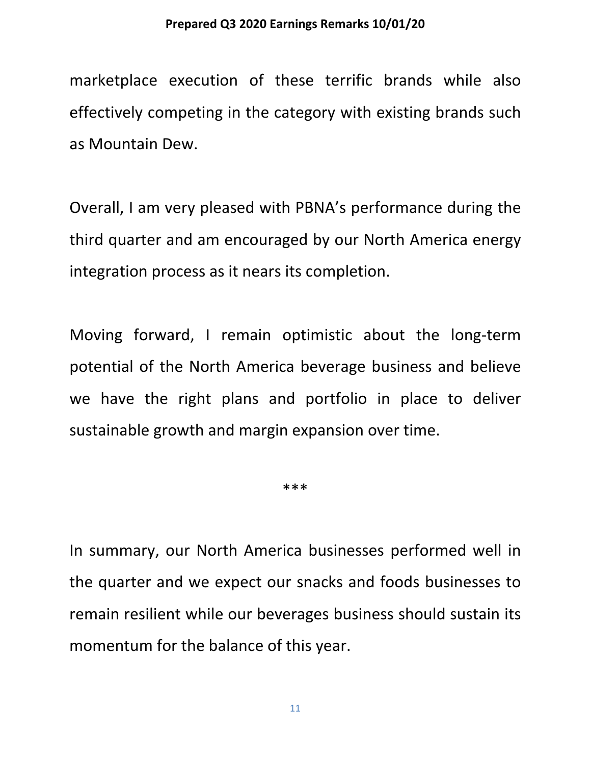marketplace execution of these terrific brands while also effectively competing in the category with existing brands such as Mountain Dew.

Overall, I am very pleased with PBNA's performance during the third quarter and am encouraged by our North America energy integration process as it nears its completion.

Moving forward, I remain optimistic about the long-term potential of the North America beverage business and believe we have the right plans and portfolio in place to deliver sustainable growth and margin expansion over time.

\*\*\*

In summary, our North America businesses performed well in the quarter and we expect our snacks and foods businesses to remain resilient while our beverages business should sustain its momentum for the balance of this year.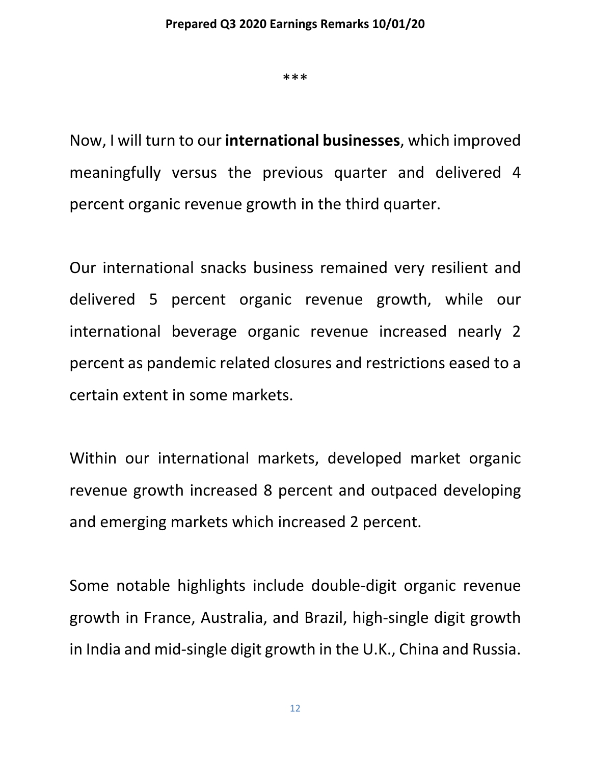\*\*\*

Now, I will turn to our **international businesses**, which improved meaningfully versus the previous quarter and delivered 4 percent organic revenue growth in the third quarter.

Our international snacks business remained very resilient and delivered 5 percent organic revenue growth, while our international beverage organic revenue increased nearly 2 percent as pandemic related closures and restrictions eased to a certain extent in some markets.

Within our international markets, developed market organic revenue growth increased 8 percent and outpaced developing and emerging markets which increased 2 percent.

Some notable highlights include double-digit organic revenue growth in France, Australia, and Brazil, high-single digit growth in India and mid-single digit growth in the U.K., China and Russia.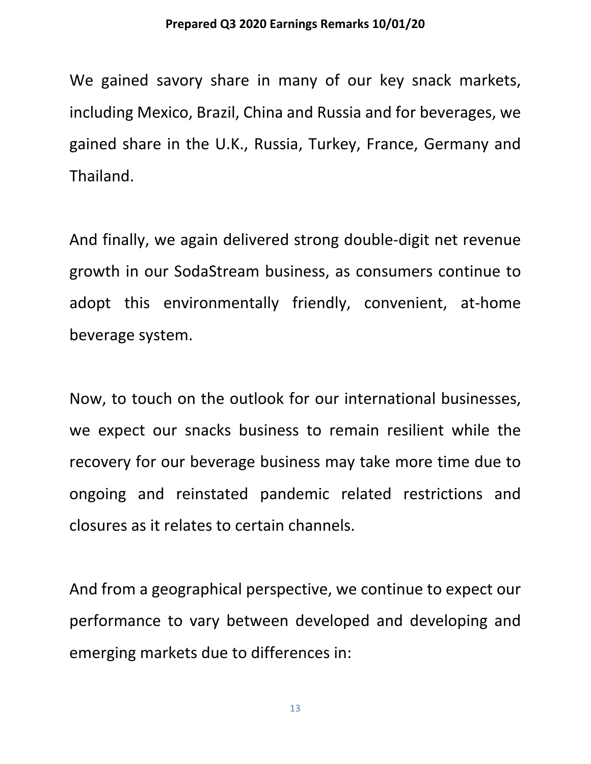We gained savory share in many of our key snack markets, including Mexico, Brazil, China and Russia and for beverages, we gained share in the U.K., Russia, Turkey, France, Germany and Thailand.

And finally, we again delivered strong double-digit net revenue growth in our SodaStream business, as consumers continue to adopt this environmentally friendly, convenient, at-home beverage system.

Now, to touch on the outlook for our international businesses, we expect our snacks business to remain resilient while the recovery for our beverage business may take more time due to ongoing and reinstated pandemic related restrictions and closures as it relates to certain channels.

And from a geographical perspective, we continue to expect our performance to vary between developed and developing and emerging markets due to differences in: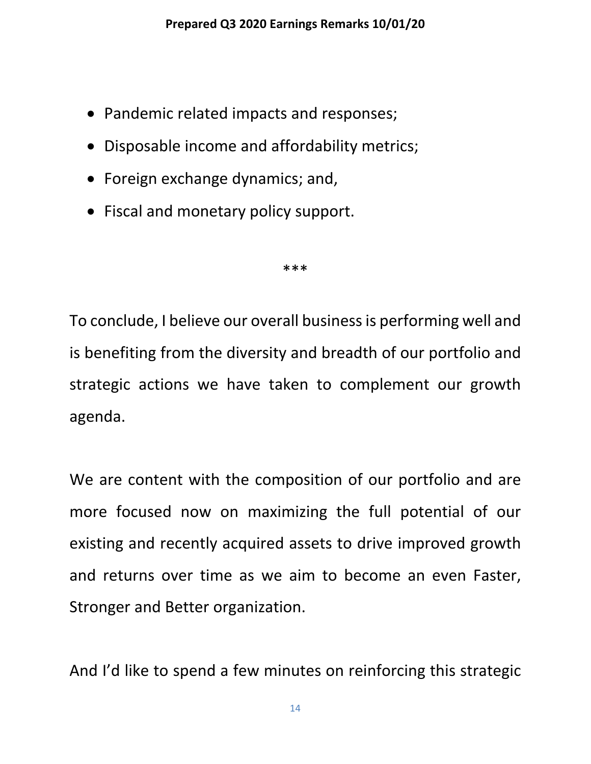- Pandemic related impacts and responses;
- Disposable income and affordability metrics;
- Foreign exchange dynamics; and,
- Fiscal and monetary policy support.

\*\*\*

To conclude, I believe our overall business is performing well and is benefiting from the diversity and breadth of our portfolio and strategic actions we have taken to complement our growth agenda.

We are content with the composition of our portfolio and are more focused now on maximizing the full potential of our existing and recently acquired assets to drive improved growth and returns over time as we aim to become an even Faster, Stronger and Better organization.

And I'd like to spend a few minutes on reinforcing this strategic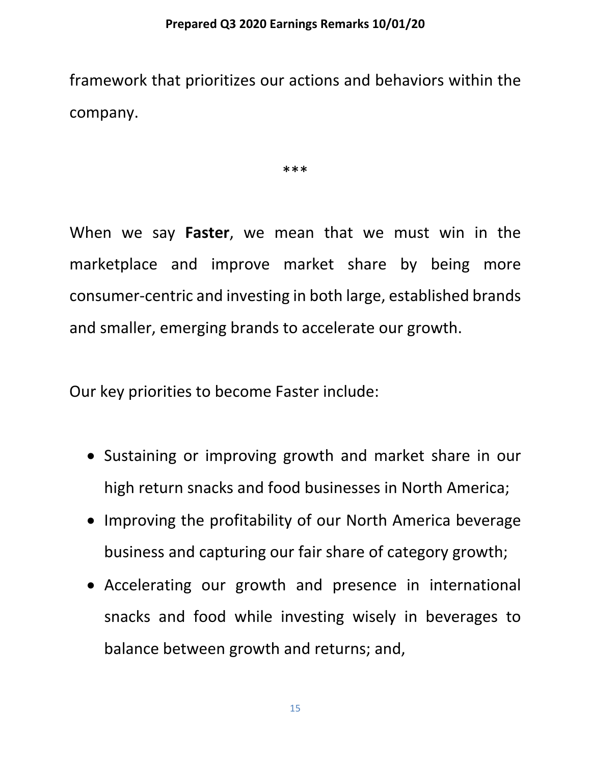framework that prioritizes our actions and behaviors within the company.

\*\*\*

When we say **Faster**, we mean that we must win in the marketplace and improve market share by being more consumer-centric and investing in both large, established brands and smaller, emerging brands to accelerate our growth.

Our key priorities to become Faster include:

- Sustaining or improving growth and market share in our high return snacks and food businesses in North America;
- Improving the profitability of our North America beverage business and capturing our fair share of category growth;
- Accelerating our growth and presence in international snacks and food while investing wisely in beverages to balance between growth and returns; and,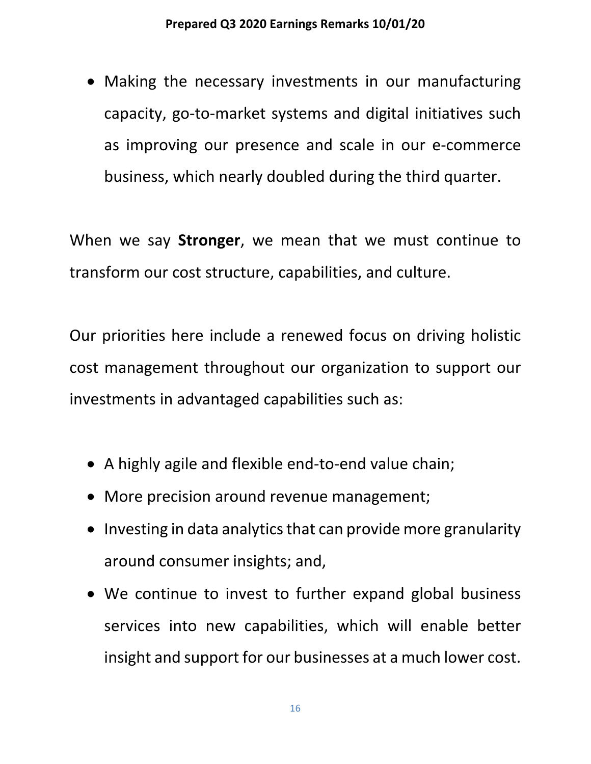• Making the necessary investments in our manufacturing capacity, go-to-market systems and digital initiatives such as improving our presence and scale in our e-commerce business, which nearly doubled during the third quarter.

When we say **Stronger**, we mean that we must continue to transform our cost structure, capabilities, and culture.

Our priorities here include a renewed focus on driving holistic cost management throughout our organization to support our investments in advantaged capabilities such as:

- A highly agile and flexible end-to-end value chain;
- More precision around revenue management;
- Investing in data analytics that can provide more granularity around consumer insights; and,
- We continue to invest to further expand global business services into new capabilities, which will enable better insight and support for our businesses at a much lower cost.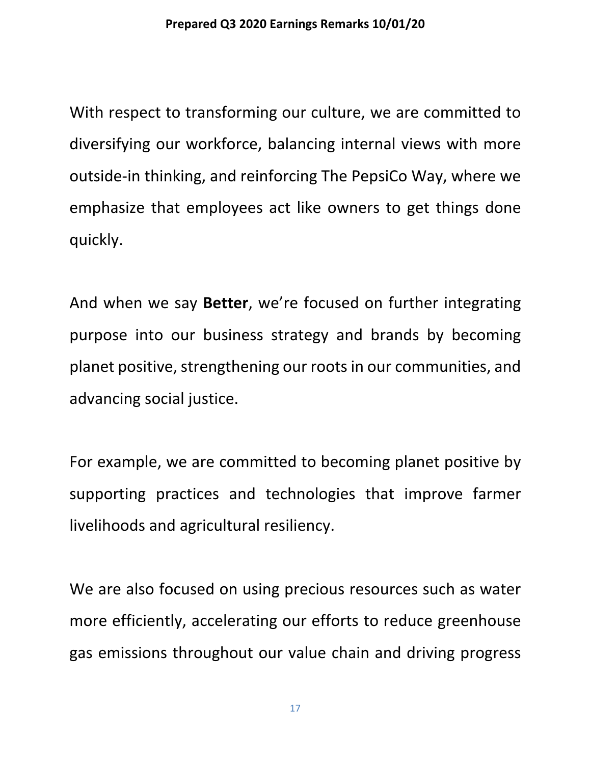With respect to transforming our culture, we are committed to diversifying our workforce, balancing internal views with more outside-in thinking, and reinforcing The PepsiCo Way, where we emphasize that employees act like owners to get things done quickly.

And when we say **Better**, we're focused on further integrating purpose into our business strategy and brands by becoming planet positive, strengthening our roots in our communities, and advancing social justice.

For example, we are committed to becoming planet positive by supporting practices and technologies that improve farmer livelihoods and agricultural resiliency.

We are also focused on using precious resources such as water more efficiently, accelerating our efforts to reduce greenhouse gas emissions throughout our value chain and driving progress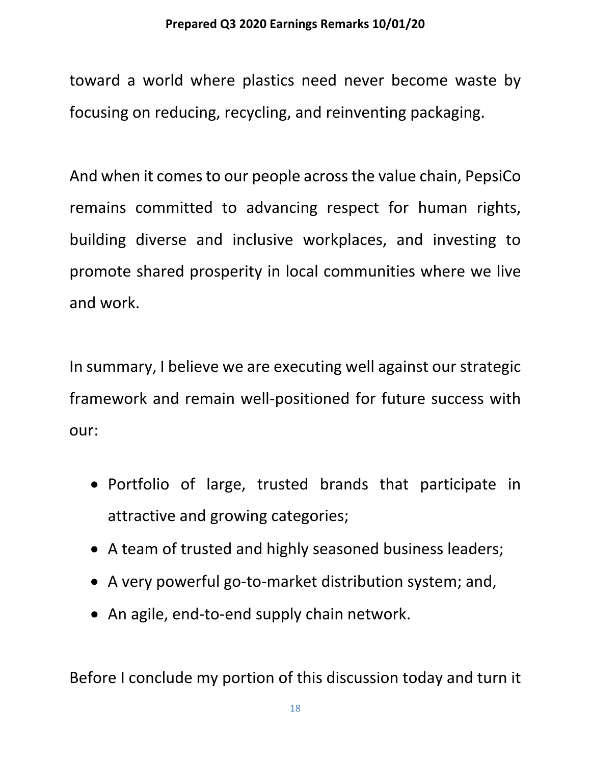toward a world where plastics need never become waste by focusing on reducing, recycling, and reinventing packaging.

And when it comes to our people across the value chain, PepsiCo remains committed to advancing respect for human rights, building diverse and inclusive workplaces, and investing to promote shared prosperity in local communities where we live and work.

In summary, I believe we are executing well against our strategic framework and remain well-positioned for future success with our:

- Portfolio of large, trusted brands that participate in attractive and growing categories;
- A team of trusted and highly seasoned business leaders;
- A very powerful go-to-market distribution system; and,
- An agile, end-to-end supply chain network.

Before I conclude my portion of this discussion today and turn it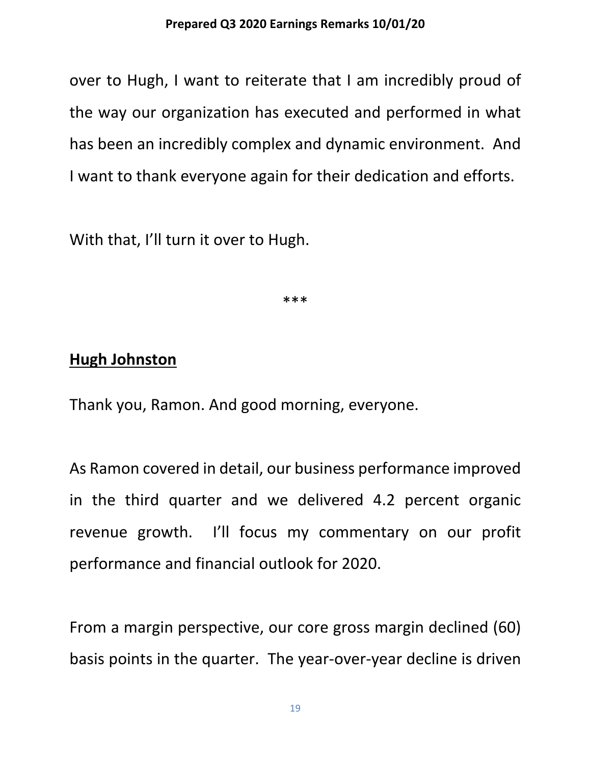over to Hugh, I want to reiterate that I am incredibly proud of the way our organization has executed and performed in what has been an incredibly complex and dynamic environment. And I want to thank everyone again for their dedication and efforts.

With that, I'll turn it over to Hugh.

\*\*\*

### **Hugh Johnston**

Thank you, Ramon. And good morning, everyone.

As Ramon covered in detail, our business performance improved in the third quarter and we delivered 4.2 percent organic revenue growth. I'll focus my commentary on our profit performance and financial outlook for 2020.

From a margin perspective, our core gross margin declined (60) basis points in the quarter. The year-over-year decline is driven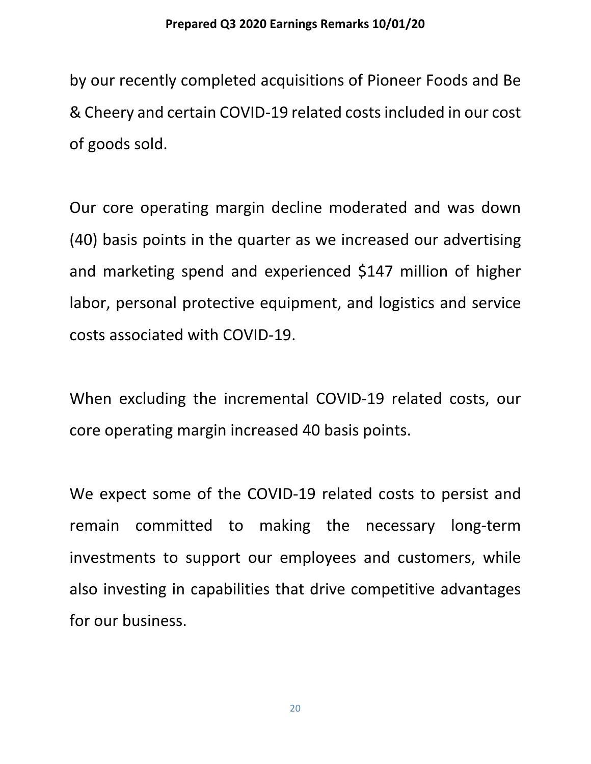by our recently completed acquisitions of Pioneer Foods and Be & Cheery and certain COVID-19 related costs included in our cost of goods sold.

Our core operating margin decline moderated and was down (40) basis points in the quarter as we increased our advertising and marketing spend and experienced \$147 million of higher labor, personal protective equipment, and logistics and service costs associated with COVID-19.

When excluding the incremental COVID-19 related costs, our core operating margin increased 40 basis points.

We expect some of the COVID-19 related costs to persist and remain committed to making the necessary long-term investments to support our employees and customers, while also investing in capabilities that drive competitive advantages for our business.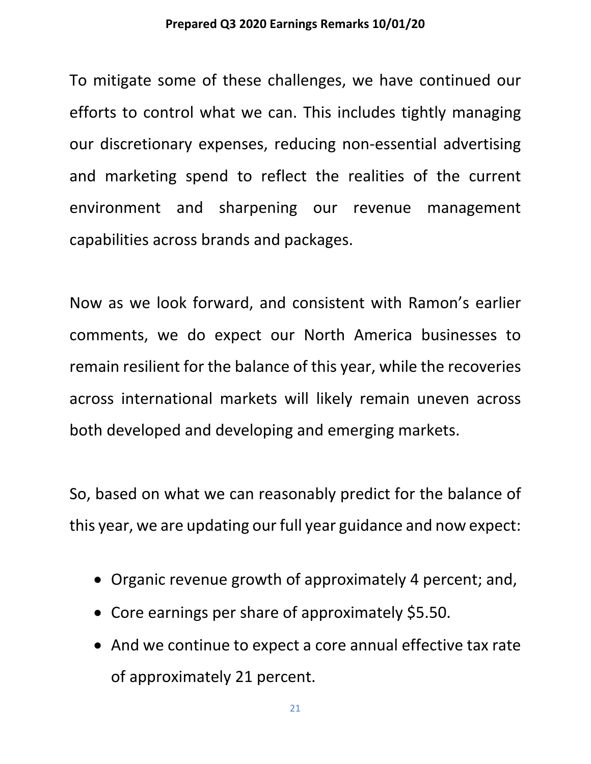To mitigate some of these challenges, we have continued our efforts to control what we can. This includes tightly managing our discretionary expenses, reducing non-essential advertising and marketing spend to reflect the realities of the current environment and sharpening our revenue management capabilities across brands and packages.

Now as we look forward, and consistent with Ramon's earlier comments, we do expect our North America businesses to remain resilient for the balance of this year, while the recoveries across international markets will likely remain uneven across both developed and developing and emerging markets.

So, based on what we can reasonably predict for the balance of this year, we are updating our full year guidance and now expect:

- Organic revenue growth of approximately 4 percent; and,
- Core earnings per share of approximately \$5.50.
- And we continue to expect a core annual effective tax rate of approximately 21 percent.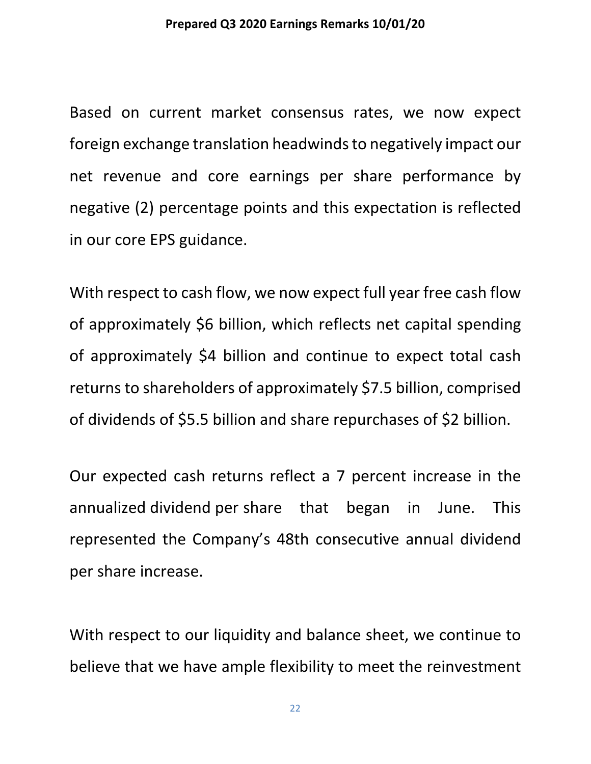Based on current market consensus rates, we now expect foreign exchange translation headwinds to negatively impact our net revenue and core earnings per share performance by negative (2) percentage points and this expectation is reflected in our core EPS guidance.

With respect to cash flow, we now expect full year free cash flow of approximately \$6 billion, which reflects net capital spending of approximately \$4 billion and continue to expect total cash returns to shareholders of approximately \$7.5 billion, comprised of dividends of \$5.5 billion and share repurchases of \$2 billion.

Our expected cash returns reflect a 7 percent increase in the annualized dividend per share that began in June. This represented the Company's 48th consecutive annual dividend per share increase.

With respect to our liquidity and balance sheet, we continue to believe that we have ample flexibility to meet the reinvestment